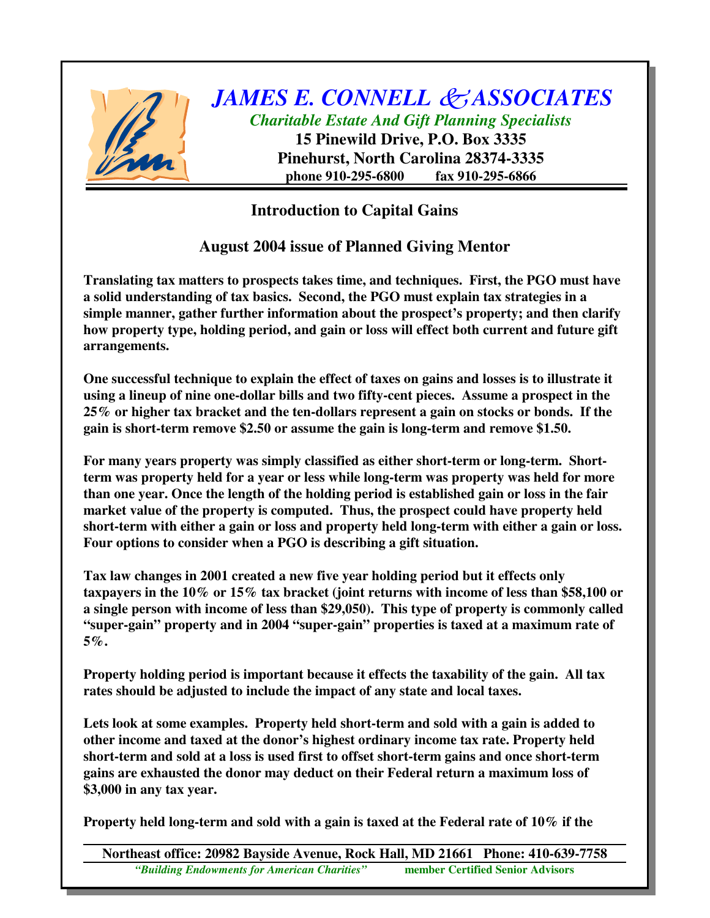

*JAMES E. CONNELL ASSOCIATES Charitable Estate And Gift Planning Specialists* **15 Pinewild Drive, P.O. Box 3335**

**Pinehurst, North Carolina 28374-3335 phone 910-295-6800 fax 910-295-6866**

## **Introduction to Capital Gains**

## **August 2004 issue of Planned Giving Mentor**

**Translating tax matters to prospects takes time, and techniques. First, the PGO must have a solid understanding of tax basics. Second, the PGO must explain tax strategies in a simple manner, gather further information about the prospect's property; and then clarify how property type, holding period, and gain or loss will effect both current and future gift arrangements.**

**One successful technique to explain the effect of taxes on gains and losses is to illustrate it using a lineup of nine one-dollar bills and two fifty-cent pieces. Assume a prospect in the 25% or higher tax bracket and the ten-dollars represent a gain on stocks or bonds. If the gain is short-term remove \$2.50 or assume the gain is long-term and remove \$1.50.**

**For many years property was simply classified as either short-term or long-term. Shortterm was property held for a year or less while long-term was property was held for more than one year. Once the length of the holding period is established gain or loss in the fair market value of the property is computed. Thus, the prospect could have property held short-term with either a gain or loss and property held long-term with either a gain or loss. Four options to consider when a PGO is describing a gift situation.**

**Tax law changes in 2001 created a new five year holding period but it effects only taxpayers in the 10% or 15% tax bracket (joint returns with income of less than \$58,100 or a single person with income of less than \$29,050). This type of property is commonly called "super-gain" property and in 2004 "super-gain" properties is taxed at a maximum rate of 5%.**

**Property holding period is important because it effects the taxability of the gain. All tax rates should be adjusted to include the impact of any state and local taxes.**

**Lets look at some examples. Property held short-term and sold with a gain is added to other income and taxed at the donor's highest ordinary income tax rate. Property held short-term and sold at a loss is used first to offset short-term gains and once short-term gains are exhausted the donor may deduct on their Federal return a maximum loss of \$3,000 in any tax year.**

**Property held long-term and sold with a gain is taxed at the Federal rate of 10% if the**